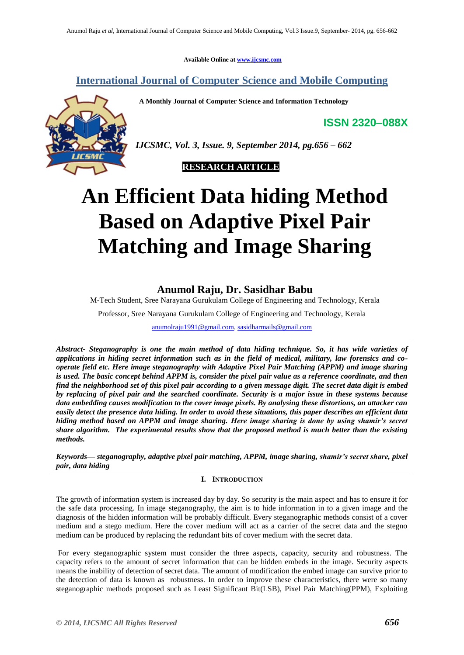**Available Online at [www.ijcsmc.com](http://www.ijcsmc.com/)**

**International Journal of Computer Science and Mobile Computing**

 **A Monthly Journal of Computer Science and Information Technology**

**ISSN 2320–088X**



*IJCSMC, Vol. 3, Issue. 9, September 2014, pg.656 – 662*



# **An Efficient Data hiding Method Based on Adaptive Pixel Pair Matching and Image Sharing**

# **Anumol Raju, Dr. Sasidhar Babu**

M-Tech Student, Sree Narayana Gurukulam College of Engineering and Technology, Kerala

Professor, Sree Narayana Gurukulam College of Engineering and Technology, Kerala

[anumolraju1991@gmail.com,](mailto:anumolraju1991@gmail.com) [sasidharmails@gmail.com](mailto:sasidharmails@gmail.com)

*Abstract- Steganography is one the main method of data hiding technique. So, it has wide varieties of applications in hiding secret information such as in the field of medical, military, law forensics and cooperate field etc. Here image steganography with Adaptive Pixel Pair Matching (APPM) and image sharing is used. The basic concept behind APPM is, consider the pixel pair value as a reference coordinate, and then find the neighborhood set of this pixel pair according to a given message digit. The secret data digit is embed by replacing of pixel pair and the searched coordinate. Security is a major issue in these systems because data embedding causes modification to the cover image pixels. By analysing these distortions, an attacker can easily detect the presence data hiding. In order to avoid these situations, this paper describes an efficient data hiding method based on APPM and image sharing. Here image sharing is done by using shamir's secret share algorithm. The experimental results show that the proposed method is much better than the existing methods.*

*Keywords— steganography, adaptive pixel pair matching, APPM, image sharing, shamir's secret share, pixel pair, data hiding*

# **I. INTRODUCTION**

The growth of information system is increased day by day. So security is the main aspect and has to ensure it for the safe data processing. In image steganography, the aim is to hide information in to a given image and the diagnosis of the hidden information will be probably difficult. Every steganographic methods consist of a cover medium and a stego medium. Here the cover medium will act as a carrier of the secret data and the stegno medium can be produced by replacing the redundant bits of cover medium with the secret data.

For every steganographic system must consider the three aspects, capacity, security and robustness. The capacity refers to the amount of secret information that can be hidden embeds in the image. Security aspects means the inability of detection of secret data. The amount of modification the embed image can survive prior to the detection of data is known as robustness. In order to improve these characteristics, there were so many steganographic methods proposed such as Least Significant Bit(LSB), Pixel Pair Matching(PPM), Exploiting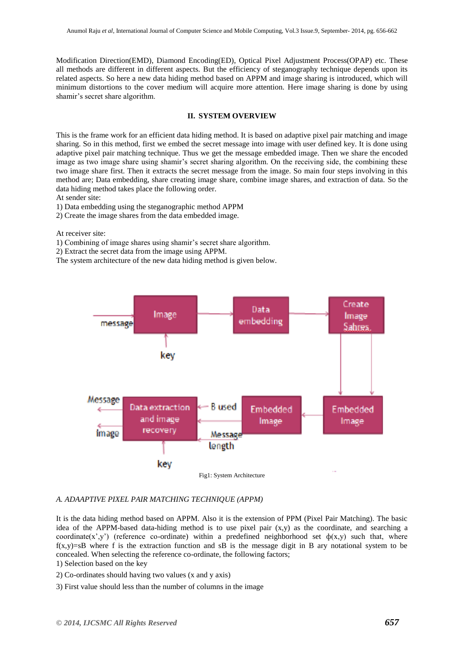Modification Direction(EMD), Diamond Encoding(ED), Optical Pixel Adjustment Process(OPAP) etc. These all methods are different in different aspects. But the efficiency of steganography technique depends upon its related aspects. So here a new data hiding method based on APPM and image sharing is introduced, which will minimum distortions to the cover medium will acquire more attention. Here image sharing is done by using shamir's secret share algorithm.

# **II. SYSTEM OVERVIEW**

This is the frame work for an efficient data hiding method. It is based on adaptive pixel pair matching and image sharing. So in this method, first we embed the secret message into image with user defined key. It is done using adaptive pixel pair matching technique. Thus we get the message embedded image. Then we share the encoded image as two image share using shamir's secret sharing algorithm. On the receiving side, the combining these two image share first. Then it extracts the secret message from the image. So main four steps involving in this method are; Data embedding, share creating image share, combine image shares, and extraction of data. So the data hiding method takes place the following order.

At sender site:

1) Data embedding using the steganographic method APPM

2) Create the image shares from the data embedded image.

At receiver site:

1) Combining of image shares using shamir's secret share algorithm.

2) Extract the secret data from the image using APPM.

The system architecture of the new data hiding method is given below.



# *A. ADAAPTIVE PIXEL PAIR MATCHING TECHNIQUE (APPM)*

It is the data hiding method based on APPM. Also it is the extension of PPM (Pixel Pair Matching). The basic idea of the APPM-based data-hiding method is to use pixel pair  $(x,y)$  as the coordinate, and searching a coordinate(x',y') (reference co-ordinate) within a predefined neighborhood set  $\phi$ (x,y) such that, where  $f(x,y)=sB$  where f is the extraction function and sB is the message digit in B ary notational system to be concealed. When selecting the reference co-ordinate, the following factors;

1) Selection based on the key

2) Co-ordinates should having two values (x and y axis)

3) First value should less than the number of columns in the image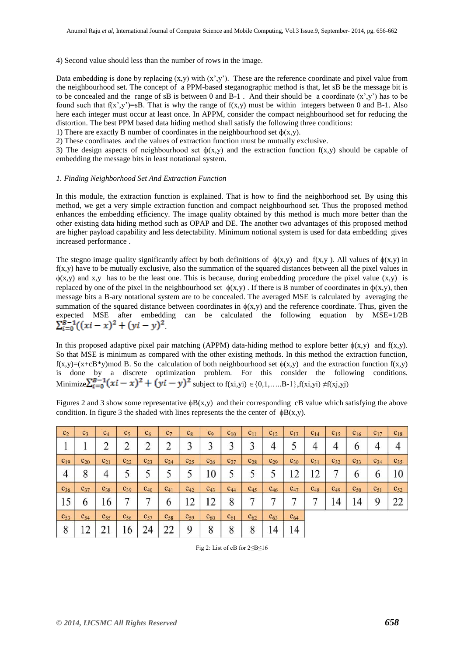4) Second value should less than the number of rows in the image.

Data embedding is done by replacing  $(x,y)$  with  $(x',y')$ . These are the reference coordinate and pixel value from the neighbourhood set. The concept of a PPM-based steganographic method is that, let sB be the message bit is to be concealed and the range of sB is between 0 and  $B-1$ . And their should be a coordinate  $(x', y')$  has to be found such that  $f(x',y')=sB$ . That is why the range of  $f(x,y)$  must be within integers between 0 and B-1. Also here each integer must occur at least once. In APPM, consider the compact neighbourhood set for reducing the distortion. The best PPM based data hiding method shall satisfy the following three conditions:

1) There are exactly B number of coordinates in the neighbourhood set  $\phi(x,y)$ .

2) These coordinates and the values of extraction function must be mutually exclusive.

3) The design aspects of neighbourhood set  $\phi(x,y)$  and the extraction function  $f(x,y)$  should be capable of embedding the message bits in least notational system.

#### *1. Finding Neighborhood Set And Extraction Function*

In this module, the extraction function is explained. That is how to find the neighborhood set. By using this method, we get a very simple extraction function and compact neighbourhood set. Thus the proposed method enhances the embedding efficiency. The image quality obtained by this method is much more better than the other existing data hiding method such as OPAP and DE. The another two advantages of this proposed method are higher payload capability and less detectability. Minimum notional system is used for data embedding gives increased performance .

The stegno image quality significantly affect by both definitions of  $\phi(x,y)$  and  $f(x,y)$ . All values of  $\phi(x,y)$  in  $f(x,y)$  have to be mutually exclusive, also the summation of the squared distances between all the pixel values in  $\phi(x,y)$  and x,y has to be the least one. This is because, during embedding procedure the pixel value  $(x,y)$  is replaced by one of the pixel in the neighbourhood set  $\phi(x,y)$ . If there is B number of coordinates in  $\phi(x,y)$ , then message bits a B-ary notational system are to be concealed. The averaged MSE is calculated by averaging the summation of the squared distance between coordinates in  $\phi(x,y)$  and the reference coordinate. Thus, given the expected MSE after embedding can be calculated the following equation by MSE=1/2B .

In this proposed adaptive pixel pair matching (APPM) data-hiding method to explore better  $\phi(x,y)$  and  $f(x,y)$ . So that MSE is minimum as compared with the other existing methods. In this method the extraction function,  $f(x,y)=(x+cB*y) \mod B$ . So the calculation of both neighbourhood set  $\phi(x,y)$  and the extraction function  $f(x,y)$ is done by a discrete optimization problem. For this consider the following conditions. Minimize  $\sum_{i=0}^{n} (xi - x)^2 + (yi - y)^2$  subject to f(xi,yi)  $\in \{0,1,....B-1\}$ , f(xi,yi)  $\neq f(x_i,y_i)$ 

| c <sub>2</sub> | c <sub>3</sub> | $C_4$          | c <sub>5</sub>     | c <sub>6</sub>     | C <sub>7</sub> | $c_8$    | C <sub>9</sub>               | $c_{10}$ | $c_{11}$ | $c_{12}$   | $c_{13}$ | $c_{14}$ | $c_{15}$       | $c_{16}$                    | $c_{17}$ | $c_{18}$ |
|----------------|----------------|----------------|--------------------|--------------------|----------------|----------|------------------------------|----------|----------|------------|----------|----------|----------------|-----------------------------|----------|----------|
|                |                | ာ<br>∠         | $\mathcal{D}$<br>∠ | $\mathcal{D}$<br>∠ | ┐<br>∠         | 3        | 3                            | 3        | 3        | 4          |          | 4        | 4              | $\boldsymbol{\mathfrak{b}}$ | 4        | 4        |
| $c_{19}$       | $c_{20}$       | $c_{21}$       | $c_{22}$           | $c_{23}$           | $C_{24}$       | $c_{25}$ | $C_{26}$                     | $c_{27}$ | $c_{28}$ | $C_{29}$   | $c_{30}$ | $c_{31}$ | $c_{32}$       | $C_{33}$                    | $c_{34}$ | $c_{35}$ |
| $\overline{4}$ | 8              | $\overline{4}$ |                    |                    |                |          | 10                           |          | 5        |            | 12       | 12       |                | O                           | 6        | 10       |
| $C_{36}$       | $C_{37}$       | $C_{38}$       | $C_{39}$           | $C_{40}$           | $C_{41}$       | $C_{42}$ | $C_{43}$                     | $C_{44}$ | $C_{45}$ | $C_{46}$   | $C_{47}$ | $C_{48}$ | $C_{49}$       | $c_{50}$                    | $c_{51}$ | $c_{52}$ |
| 15             | 6              | 16             |                    |                    | 6              | 12       | $\sqrt{2}$<br>$\overline{1}$ | 8        | ⇁        | ~          | ┑        |          | $\overline{4}$ | $\overline{4}$              | 9        | 22       |
| $C_{53}$       | $C_{54}$       | $C_{55}$       | $C_{56}$           | $C_{57}$           | $C_{58}$       | $C_{59}$ | $C_{60}$                     | $c_{61}$ | $c_{62}$ | $C_{63}$   | $c_{64}$ |          |                |                             |          |          |
| 8              | 12             | 21             | 16                 | 24                 | 22             | 9        | 8                            | O<br>Õ   | 8        | $\sqrt{4}$ | 14       |          |                |                             |          |          |

Figures 2 and 3 show some representative  $\phi B(x,y)$  and their corresponding cB value which satisfying the above condition. In figure 3 the shaded with lines represents the the center of  $\phi B(x,y)$ .

Fig 2: List of cB for 2≤B≤16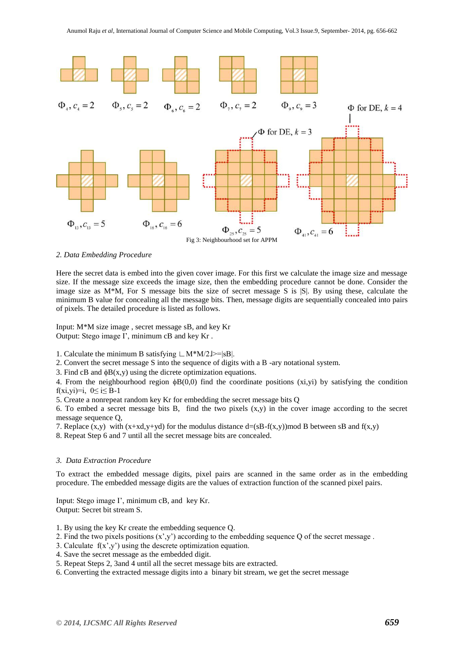

*2. Data Embedding Procedure*

Here the secret data is embed into the given cover image. For this first we calculate the image size and message size. If the message size exceeds the image size, then the embedding procedure cannot be done. Consider the image size as  $M^*M$ , For S message bits the size of secret message S is  $|S|$ . By using these, calculate the minimum B value for concealing all the message bits. Then, message digits are sequentially concealed into pairs of pixels. The detailed procedure is listed as follows.

Input: M\*M size image , secret message sB, and key Kr Output: Stego image I', minimum cB and key Kr .

1. Calculate the minimum B satisfying  $\lfloor M^*M/2 \rfloor > = |sB|$ .

2. Convert the secret message S into the sequence of digits with a B -ary notational system.

3. Find cB and  $\phi$ B(x,y) using the dicrete optimization equations.

4. From the neighbourhood region  $\phi B(0,0)$  find the coordinate positions (xi,yi) by satisfying the condition f(xi,yi)=i,  $0 \le i \le B-1$ 

5. Create a nonrepeat random key Kr for embedding the secret message bits Q

6. To embed a secret message bits B, find the two pixels (x,y) in the cover image according to the secret message sequence Q,

7. Replace  $(x,y)$  with  $(x+xd,y+yd)$  for the modulus distance  $d=(sB-f(x,y))$  mod B between  $sB$  and  $f(x,y)$ 

8. Repeat Step 6 and 7 until all the secret message bits are concealed.

#### *3. Data Extraction Procedure*

To extract the embedded message digits, pixel pairs are scanned in the same order as in the embedding procedure. The embedded message digits are the values of extraction function of the scanned pixel pairs.

Input: Stego image I', minimum cB, and key Kr. Output: Secret bit stream S.

1. By using the key Kr create the embedding sequence Q.

- 2. Find the two pixels positions  $(x', y')$  according to the embedding sequence Q of the secret message.
- 3. Calculate  $f(x', y')$  using the descrete optimization equation.
- 4. Save the secret message as the embedded digit.
- 5. Repeat Steps 2, 3and 4 until all the secret message bits are extracted.
- 6. Converting the extracted message digits into a binary bit stream, we get the secret message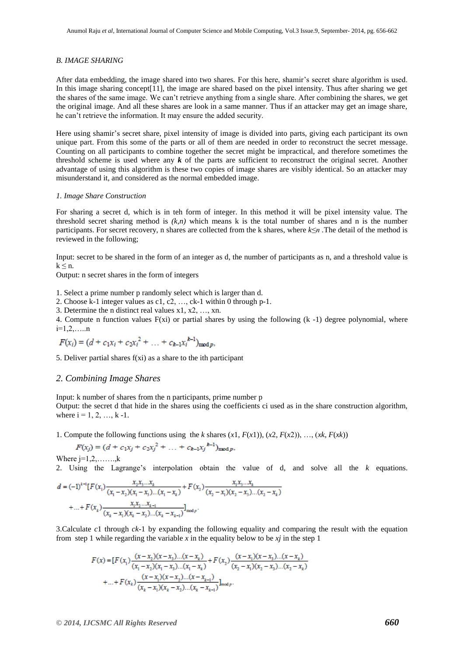#### *B. IMAGE SHARING*

After data embedding, the image shared into two shares. For this here, shamir's secret share algorithm is used. In this image sharing concept[11], the image are shared based on the pixel intensity. Thus after sharing we get the shares of the same image. We can't retrieve anything from a single share. After combining the shares, we get the original image. And all these shares are look in a same manner. Thus if an attacker may get an image share, he can't retrieve the information. It may ensure the added security.

Here using shamir's secret share, pixel intensity of image is divided into parts, giving each participant its own unique part. From this some of the parts or all of them are needed in order to reconstruct the secret message. Counting on all participants to combine together the secret might be impractical, and therefore sometimes the threshold scheme is used where any  $k$  of the parts are sufficient to reconstruct the original secret. Another advantage of using this algorithm is these two copies of image shares are visibly identical. So an attacker may misunderstand it, and considered as the normal embedded image.

#### *1. Image Share Construction*

For sharing a secret d, which is in teh form of integer. In this method it will be pixel intensity value. The threshold secret sharing method is  $(k, n)$  which means k is the total number of shares and n is the number participants. For secret recovery, n shares are collected from the k shares, where *k≤n .*The detail of the method is reviewed in the following;

Input: secret to be shared in the form of an integer as d, the number of participants as n, and a threshold value is  $k \leq n$ .

Output: n secret shares in the form of integers

1. Select a prime number p randomly select which is larger than d.

2. Choose k-1 integer values as c1, c2, …, ck-1 within 0 through p-1.

3. Determine the n distinct real values x1, x2, …, xn.

4. Compute n function values  $F(xi)$  or partial shares by using the following  $(k-1)$  degree polynomial, where  $i=1,2,....n$ 

$$
F(x_i) = (d + c_1x_i + c_2x_i^2 + \dots + c_{k-1}x_i^{k-1})_{\text{mod }p},
$$

5. Deliver partial shares f(xi) as a share to the ith participant

# *2. Combining Image Shares*

Input: k number of shares from the n participants, prime number p Output: the secret d that hide in the shares using the coefficients ci used as in the share construction algorithm, where  $i = 1, 2, ..., k - 1$ .

1. Compute the following functions using the *k* shares  $(x1, F(x1))$ ,  $(x2, F(x2))$ , ...,  $(xk, F(xk))$ 

$$
F(x_j) = (d + c_1x_j + c_2x_j^2 + \dots + c_{k-1}x_j^{k-1})_{\text{mod }p},
$$

Where  $j=1,2,\ldots, k$ 

2. Using the Lagrange's interpolation obtain the value of d, and solve all the *k* equations.

$$
d = (-1)^{k-1} [F(x_1) \frac{x_2 x_3 \dots x_k}{(x_1 - x_2)(x_1 - x_3) \dots (x_1 - x_k)} + F(x_2) \frac{x_1 x_3 \dots x_k}{(x_2 - x_1)(x_2 - x_3) \dots (x_2 - x_k)}
$$
  
+ ... + F(x<sub>k</sub>)  $\frac{x_1 x_2 \dots x_{k-1}}{(x_k - x_1)(x_k - x_2) \dots (x_k - x_{k-1})}$ mod p

3.Calculate *c*1 through *ck*-1 by expanding the following equality and comparing the result with the equation from step 1 while regarding the variable  $x$  in the equality below to be  $xj$  in the step 1

$$
F(x) = [F(x_1) \frac{(x - x_2)(x - x_3)...(x - x_k)}{(x_1 - x_2)(x_1 - x_3)...(x_1 - x_k)} + F(x_2) \frac{(x - x_1)(x - x_3)...(x - x_k)}{(x_2 - x_1)(x_2 - x_3)...(x_2 - x_k)} + ... + F(x_k) \frac{(x - x_1)(x - x_2)...(x - x_{k-1})}{(x_k - x_1)(x_k - x_2)...(x_k - x_{k-1})} \text{mod } p.
$$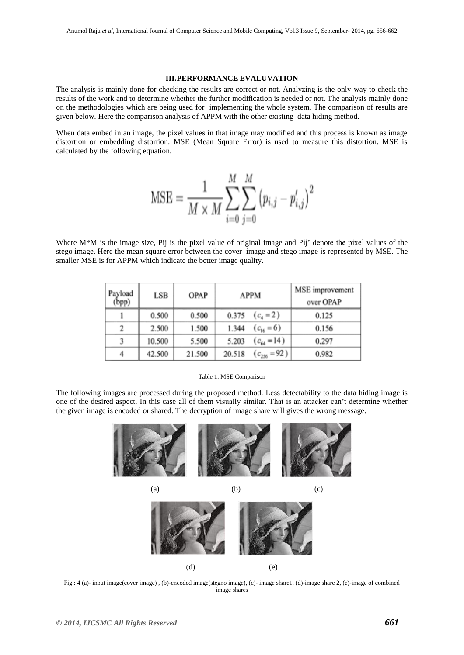#### **III.PERFORMANCE EVALUVATION**

The analysis is mainly done for checking the results are correct or not. Analyzing is the only way to check the results of the work and to determine whether the further modification is needed or not. The analysis mainly done on the methodologies which are being used for implementing the whole system. The comparison of results are given below. Here the comparison analysis of APPM with the other existing data hiding method.

When data embed in an image, the pixel values in that image may modified and this process is known as image distortion or embedding distortion. MSE (Mean Square Error) is used to measure this distortion. MSE is calculated by the following equation.

$$
\text{MSE} = \frac{1}{M \times M} \sum_{i=0}^{M} \sum_{j=0}^{M} \left(p_{i,j} - p'_{i,j}\right)^2
$$

Where M<sup>\*</sup>M is the image size, Pij is the pixel value of original image and Pij' denote the pixel values of the stego image. Here the mean square error between the cover image and stego image is represented by MSE. The smaller MSE is for APPM which indicate the better image quality.

| Payload<br>(bpp) | LSB    | OPAP   | <b>APPM</b>                | MSE improvement<br>over OPAP |  |  |
|------------------|--------|--------|----------------------------|------------------------------|--|--|
|                  | 0.500  | 0.500  | $(c_4 = 2)$<br>0.375       | 0.125                        |  |  |
| $\overline{2}$   | 2.500  | 1.500  | $(c_{16}=6)$<br>1.344      | 0.156                        |  |  |
| 3                | 10.500 | 5.500  | $(c_{64} = 14)$<br>5.203   | 0.297                        |  |  |
| 4                | 42.500 | 21.500 | 20.518<br>$(c_{256} = 92)$ | 0.982                        |  |  |

#### Table 1: MSE Comparison

The following images are processed during the proposed method. Less detectability to the data hiding image is one of the desired aspect. In this case all of them visually similar. That is an attacker can't determine whether the given image is encoded or shared. The decryption of image share will gives the wrong message.



Fig : 4 (a)- input image(cover image) , (b)-encoded image(stegno image), (c)- image share1, (d)-image share 2, (e)-image of combined image shares